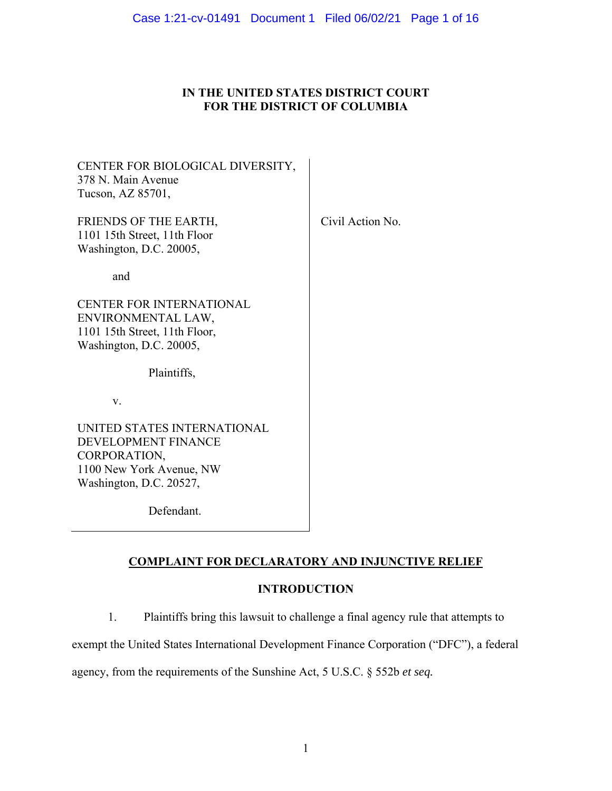# **IN THE UNITED STATES DISTRICT COURT FOR THE DISTRICT OF COLUMBIA**

| CENTER FOR BIOLOGICAL DIVERSITY,<br>378 N. Main Avenue<br>Tucson, AZ 85701,                                               |                  |
|---------------------------------------------------------------------------------------------------------------------------|------------------|
| FRIENDS OF THE EARTH,<br>1101 15th Street, 11th Floor<br>Washington, D.C. 20005,                                          | Civil Action No. |
| and                                                                                                                       |                  |
| <b>CENTER FOR INTERNATIONAL</b><br>ENVIRONMENTAL LAW,<br>1101 15th Street, 11th Floor,<br>Washington, D.C. 20005,         |                  |
| Plaintiffs,                                                                                                               |                  |
| V.                                                                                                                        |                  |
| UNITED STATES INTERNATIONAL<br>DEVELOPMENT FINANCE<br>CORPORATION,<br>1100 New York Avenue, NW<br>Washington, D.C. 20527, |                  |
| Defendant.                                                                                                                |                  |

# **COMPLAINT FOR DECLARATORY AND INJUNCTIVE RELIEF**

# **INTRODUCTION**

1. Plaintiffs bring this lawsuit to challenge a final agency rule that attempts to

exempt the United States International Development Finance Corporation ("DFC"), a federal

agency, from the requirements of the Sunshine Act, 5 U.S.C. § 552b *et seq.*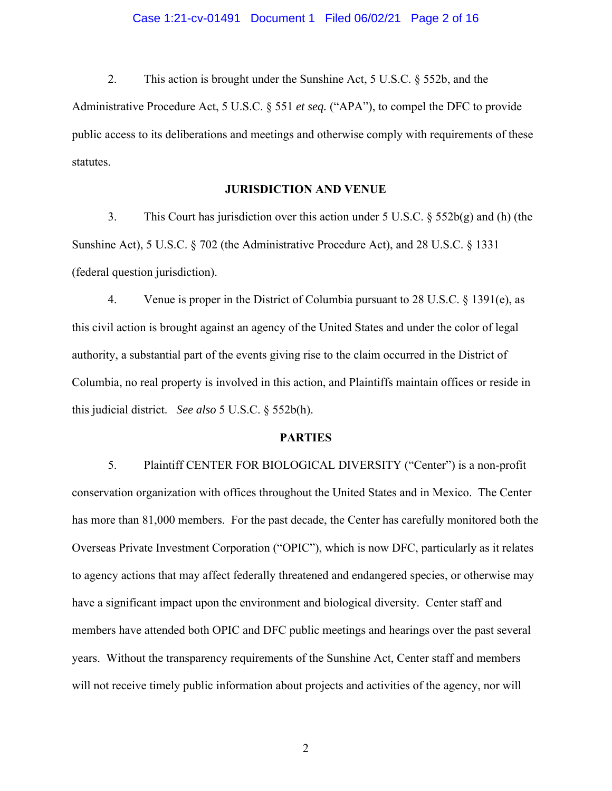### Case 1:21-cv-01491 Document 1 Filed 06/02/21 Page 2 of 16

2. This action is brought under the Sunshine Act, 5 U.S.C. § 552b, and the

Administrative Procedure Act, 5 U.S.C. § 551 *et seq.* ("APA"), to compel the DFC to provide public access to its deliberations and meetings and otherwise comply with requirements of these statutes.

### **JURISDICTION AND VENUE**

3. This Court has jurisdiction over this action under 5 U.S.C.  $\S$  552b(g) and (h) (the Sunshine Act), 5 U.S.C. § 702 (the Administrative Procedure Act), and 28 U.S.C. § 1331 (federal question jurisdiction).

4. Venue is proper in the District of Columbia pursuant to 28 U.S.C. § 1391(e), as this civil action is brought against an agency of the United States and under the color of legal authority, a substantial part of the events giving rise to the claim occurred in the District of Columbia, no real property is involved in this action, and Plaintiffs maintain offices or reside in this judicial district. *See also* 5 U.S.C. § 552b(h).

#### **PARTIES**

5. Plaintiff CENTER FOR BIOLOGICAL DIVERSITY ("Center") is a non-profit conservation organization with offices throughout the United States and in Mexico. The Center has more than 81,000 members. For the past decade, the Center has carefully monitored both the Overseas Private Investment Corporation ("OPIC"), which is now DFC, particularly as it relates to agency actions that may affect federally threatened and endangered species, or otherwise may have a significant impact upon the environment and biological diversity. Center staff and members have attended both OPIC and DFC public meetings and hearings over the past several years. Without the transparency requirements of the Sunshine Act, Center staff and members will not receive timely public information about projects and activities of the agency, nor will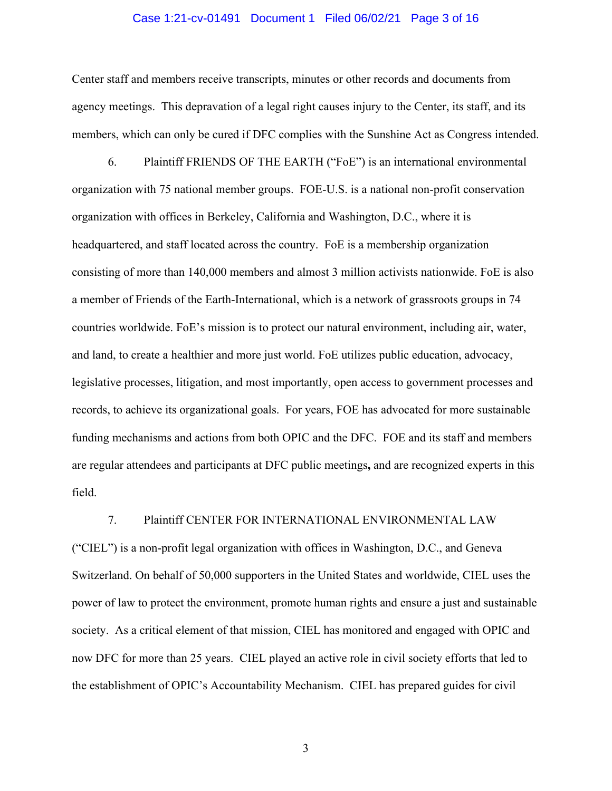#### Case 1:21-cv-01491 Document 1 Filed 06/02/21 Page 3 of 16

Center staff and members receive transcripts, minutes or other records and documents from agency meetings. This depravation of a legal right causes injury to the Center, its staff, and its members, which can only be cured if DFC complies with the Sunshine Act as Congress intended.

6. Plaintiff FRIENDS OF THE EARTH ("FoE") is an international environmental organization with 75 national member groups. FOE-U.S. is a national non-profit conservation organization with offices in Berkeley, California and Washington, D.C., where it is headquartered, and staff located across the country. FoE is a membership organization consisting of more than 140,000 members and almost 3 million activists nationwide. FoE is also a member of Friends of the Earth-International, which is a network of grassroots groups in 74 countries worldwide. FoE's mission is to protect our natural environment, including air, water, and land, to create a healthier and more just world. FoE utilizes public education, advocacy, legislative processes, litigation, and most importantly, open access to government processes and records, to achieve its organizational goals. For years, FOE has advocated for more sustainable funding mechanisms and actions from both OPIC and the DFC. FOE and its staff and members are regular attendees and participants at DFC public meetings**,** and are recognized experts in this field.

#### 7. Plaintiff CENTER FOR INTERNATIONAL ENVIRONMENTAL LAW

("CIEL") is a non-profit legal organization with offices in Washington, D.C., and Geneva Switzerland. On behalf of 50,000 supporters in the United States and worldwide, CIEL uses the power of law to protect the environment, promote human rights and ensure a just and sustainable society. As a critical element of that mission, CIEL has monitored and engaged with OPIC and now DFC for more than 25 years. CIEL played an active role in civil society efforts that led to the establishment of OPIC's Accountability Mechanism. CIEL has prepared guides for civil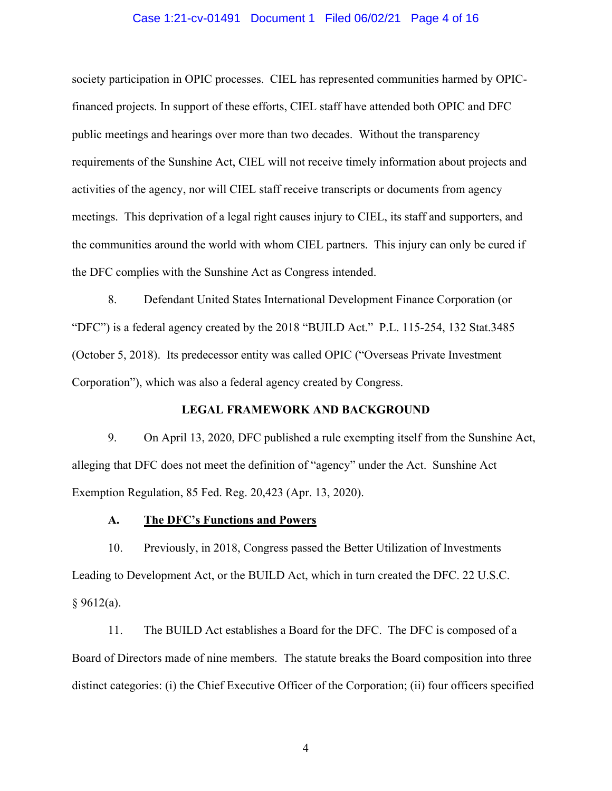#### Case 1:21-cv-01491 Document 1 Filed 06/02/21 Page 4 of 16

society participation in OPIC processes. CIEL has represented communities harmed by OPICfinanced projects. In support of these efforts, CIEL staff have attended both OPIC and DFC public meetings and hearings over more than two decades. Without the transparency requirements of the Sunshine Act, CIEL will not receive timely information about projects and activities of the agency, nor will CIEL staff receive transcripts or documents from agency meetings. This deprivation of a legal right causes injury to CIEL, its staff and supporters, and the communities around the world with whom CIEL partners. This injury can only be cured if the DFC complies with the Sunshine Act as Congress intended.

8. Defendant United States International Development Finance Corporation (or "DFC") is a federal agency created by the 2018 "BUILD Act." P.L. 115-254, 132 Stat.3485 (October 5, 2018). Its predecessor entity was called OPIC ("Overseas Private Investment Corporation"), which was also a federal agency created by Congress.

#### **LEGAL FRAMEWORK AND BACKGROUND**

9. On April 13, 2020, DFC published a rule exempting itself from the Sunshine Act, alleging that DFC does not meet the definition of "agency" under the Act. Sunshine Act Exemption Regulation, 85 Fed. Reg. 20,423 (Apr. 13, 2020).

## **A. The DFC's Functions and Powers**

10. Previously, in 2018, Congress passed the Better Utilization of Investments Leading to Development Act, or the BUILD Act, which in turn created the DFC. 22 U.S.C.  $§ 9612(a).$ 

11. The BUILD Act establishes a Board for the DFC. The DFC is composed of a Board of Directors made of nine members. The statute breaks the Board composition into three distinct categories: (i) the Chief Executive Officer of the Corporation; (ii) four officers specified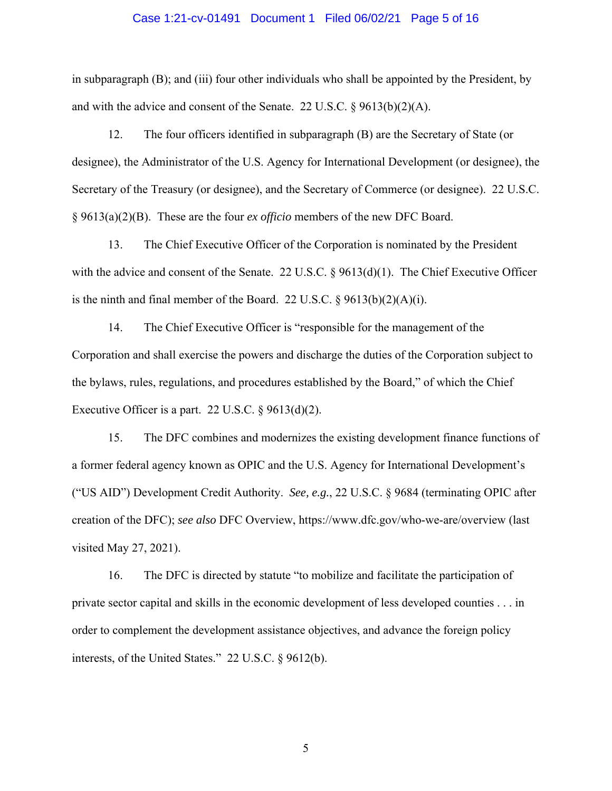#### Case 1:21-cv-01491 Document 1 Filed 06/02/21 Page 5 of 16

in subparagraph (B); and (iii) four other individuals who shall be appointed by the President, by and with the advice and consent of the Senate. 22 U.S.C. § 9613(b)(2)(A).

12. The four officers identified in subparagraph (B) are the Secretary of State (or designee), the Administrator of the U.S. Agency for International Development (or designee), the Secretary of the Treasury (or designee), and the Secretary of Commerce (or designee). 22 U.S.C. § 9613(a)(2)(B). These are the four *ex officio* members of the new DFC Board.

13. The Chief Executive Officer of the Corporation is nominated by the President with the advice and consent of the Senate. 22 U.S.C.  $\S$  9613(d)(1). The Chief Executive Officer is the ninth and final member of the Board. 22 U.S.C.  $\S$  9613(b)(2)(A)(i).

14. The Chief Executive Officer is "responsible for the management of the Corporation and shall exercise the powers and discharge the duties of the Corporation subject to the bylaws, rules, regulations, and procedures established by the Board," of which the Chief Executive Officer is a part. 22 U.S.C.  $\S$  9613(d)(2).

15. The DFC combines and modernizes the existing development finance functions of a former federal agency known as OPIC and the U.S. Agency for International Development's ("US AID") Development Credit Authority. *See, e.g.*, 22 U.S.C. § 9684 (terminating OPIC after creation of the DFC); *see also* DFC Overview, https://www.dfc.gov/who-we-are/overview (last visited May 27, 2021).

16. The DFC is directed by statute "to mobilize and facilitate the participation of private sector capital and skills in the economic development of less developed counties . . . in order to complement the development assistance objectives, and advance the foreign policy interests, of the United States." 22 U.S.C. § 9612(b).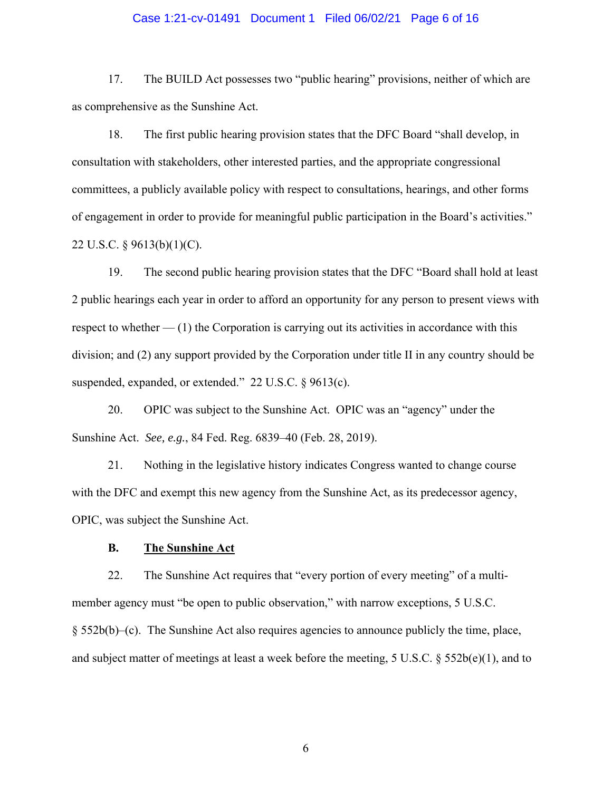#### Case 1:21-cv-01491 Document 1 Filed 06/02/21 Page 6 of 16

17. The BUILD Act possesses two "public hearing" provisions, neither of which are as comprehensive as the Sunshine Act.

18. The first public hearing provision states that the DFC Board "shall develop, in consultation with stakeholders, other interested parties, and the appropriate congressional committees, a publicly available policy with respect to consultations, hearings, and other forms of engagement in order to provide for meaningful public participation in the Board's activities." 22 U.S.C. § 9613(b)(1)(C).

19. The second public hearing provision states that the DFC "Board shall hold at least 2 public hearings each year in order to afford an opportunity for any person to present views with respect to whether  $-$  (1) the Corporation is carrying out its activities in accordance with this division; and (2) any support provided by the Corporation under title II in any country should be suspended, expanded, or extended." 22 U.S.C. § 9613(c).

20. OPIC was subject to the Sunshine Act. OPIC was an "agency" under the Sunshine Act. *See, e.g.*, 84 Fed. Reg. 6839–40 (Feb. 28, 2019).

21. Nothing in the legislative history indicates Congress wanted to change course with the DFC and exempt this new agency from the Sunshine Act, as its predecessor agency, OPIC, was subject the Sunshine Act.

## **B. The Sunshine Act**

22. The Sunshine Act requires that "every portion of every meeting" of a multimember agency must "be open to public observation," with narrow exceptions, 5 U.S.C. § 552b(b)–(c). The Sunshine Act also requires agencies to announce publicly the time, place, and subject matter of meetings at least a week before the meeting, 5 U.S.C. § 552b(e)(1), and to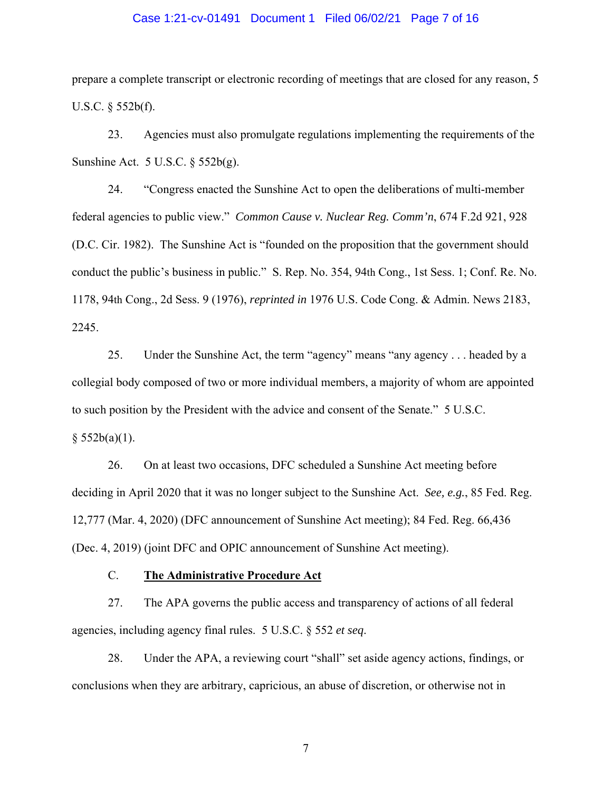#### Case 1:21-cv-01491 Document 1 Filed 06/02/21 Page 7 of 16

prepare a complete transcript or electronic recording of meetings that are closed for any reason, 5 U.S.C. § 552b(f).

23. Agencies must also promulgate regulations implementing the requirements of the Sunshine Act. 5 U.S.C. § 552b(g).

24. "Congress enacted the Sunshine Act to open the deliberations of multi-member federal agencies to public view." *Common Cause v. Nuclear Reg. Comm'n*, 674 F.2d 921, 928 (D.C. Cir. 1982). The Sunshine Act is "founded on the proposition that the government should conduct the public's business in public." S. Rep. No. 354, 94th Cong., 1st Sess. 1; Conf. Re. No. 1178, 94th Cong., 2d Sess. 9 (1976), *reprinted in* 1976 U.S. Code Cong. & Admin. News 2183, 2245.

25. Under the Sunshine Act, the term "agency" means "any agency . . . headed by a collegial body composed of two or more individual members, a majority of whom are appointed to such position by the President with the advice and consent of the Senate." 5 U.S.C.  $§ 552b(a)(1).$ 

26. On at least two occasions, DFC scheduled a Sunshine Act meeting before deciding in April 2020 that it was no longer subject to the Sunshine Act. *See, e.g.*, 85 Fed. Reg. 12,777 (Mar. 4, 2020) (DFC announcement of Sunshine Act meeting); 84 Fed. Reg. 66,436 (Dec. 4, 2019) (joint DFC and OPIC announcement of Sunshine Act meeting).

C. **The Administrative Procedure Act**

27. The APA governs the public access and transparency of actions of all federal agencies, including agency final rules. 5 U.S.C. § 552 *et seq*.

28. Under the APA, a reviewing court "shall" set aside agency actions, findings, or conclusions when they are arbitrary, capricious, an abuse of discretion, or otherwise not in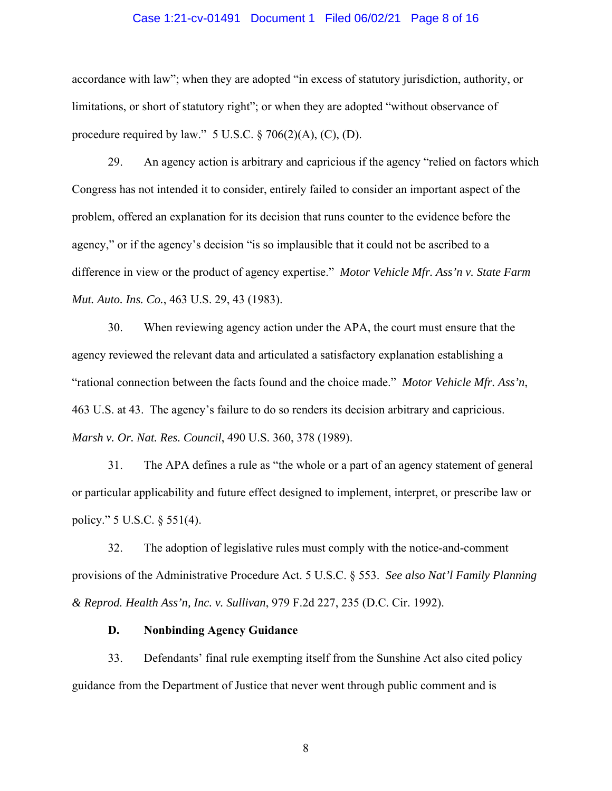#### Case 1:21-cv-01491 Document 1 Filed 06/02/21 Page 8 of 16

accordance with law"; when they are adopted "in excess of statutory jurisdiction, authority, or limitations, or short of statutory right"; or when they are adopted "without observance of procedure required by law."  $5 \text{ U.S.C.} \$   $\frac{3}{206(2)(\text{A})}$ , (C), (D).

29. An agency action is arbitrary and capricious if the agency "relied on factors which Congress has not intended it to consider, entirely failed to consider an important aspect of the problem, offered an explanation for its decision that runs counter to the evidence before the agency," or if the agency's decision "is so implausible that it could not be ascribed to a difference in view or the product of agency expertise." *Motor Vehicle Mfr. Ass'n v. State Farm Mut. Auto. Ins. Co.*, 463 U.S. 29, 43 (1983).

30. When reviewing agency action under the APA, the court must ensure that the agency reviewed the relevant data and articulated a satisfactory explanation establishing a "rational connection between the facts found and the choice made." *Motor Vehicle Mfr. Ass'n*, 463 U.S. at 43. The agency's failure to do so renders its decision arbitrary and capricious. *Marsh v. Or. Nat. Res. Council*, 490 U.S. 360, 378 (1989).

31. The APA defines a rule as "the whole or a part of an agency statement of general or particular applicability and future effect designed to implement, interpret, or prescribe law or policy." 5 U.S.C. § 551(4).

32. The adoption of legislative rules must comply with the notice-and-comment provisions of the Administrative Procedure Act. 5 U.S.C. § 553. *See also Nat'l Family Planning & Reprod. Health Ass'n, Inc. v. Sullivan*, 979 F.2d 227, 235 (D.C. Cir. 1992).

## **D. Nonbinding Agency Guidance**

33. Defendants' final rule exempting itself from the Sunshine Act also cited policy guidance from the Department of Justice that never went through public comment and is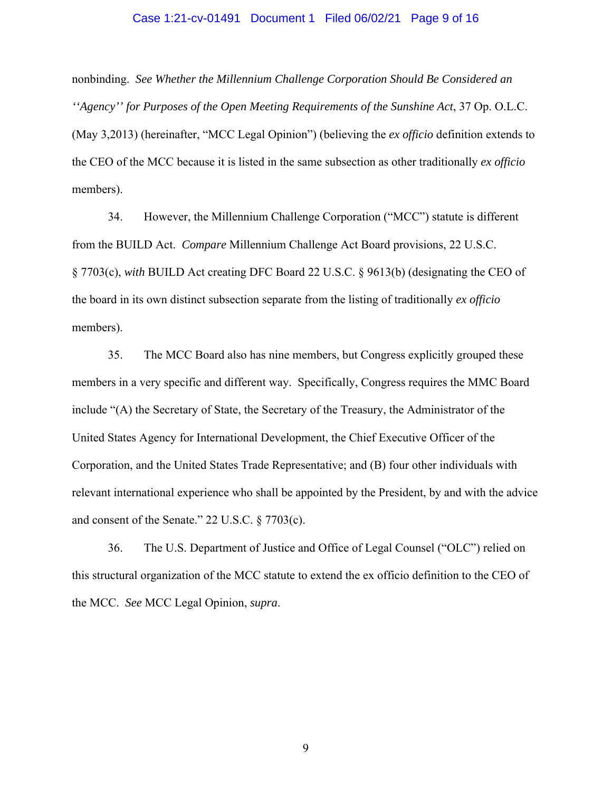#### Case 1:21-cv-01491 Document 1 Filed 06/02/21 Page 9 of 16

nonbinding. *See Whether the Millennium Challenge Corporation Should Be Considered an ''Agency'' for Purposes of the Open Meeting Requirements of the Sunshine Act*, 37 Op. O.L.C. (May 3,2013) (hereinafter, "MCC Legal Opinion") (believing the *ex officio* definition extends to the CEO of the MCC because it is listed in the same subsection as other traditionally *ex officio* members).

34. However, the Millennium Challenge Corporation ("MCC") statute is different from the BUILD Act. *Compare* Millennium Challenge Act Board provisions, 22 U.S.C. § 7703(c), *with* BUILD Act creating DFC Board 22 U.S.C. § 9613(b) (designating the CEO of the board in its own distinct subsection separate from the listing of traditionally *ex officio* members).

35. The MCC Board also has nine members, but Congress explicitly grouped these members in a very specific and different way. Specifically, Congress requires the MMC Board include "(A) the Secretary of State, the Secretary of the Treasury, the Administrator of the United States Agency for International Development, the Chief Executive Officer of the Corporation, and the United States Trade Representative; and (B) four other individuals with relevant international experience who shall be appointed by the President, by and with the advice and consent of the Senate." 22 U.S.C. § 7703(c).

36. The U.S. Department of Justice and Office of Legal Counsel ("OLC") relied on this structural organization of the MCC statute to extend the ex officio definition to the CEO of the MCC. *See* MCC Legal Opinion, *supra*.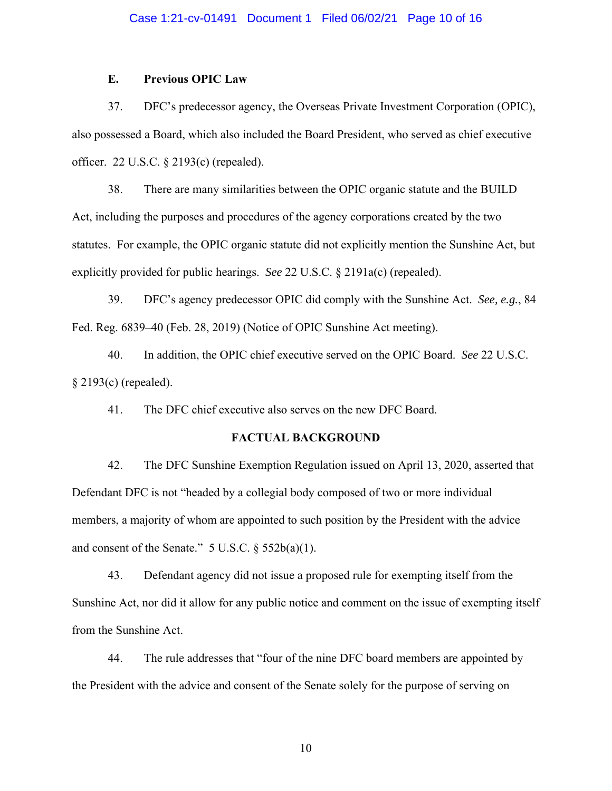## **E. Previous OPIC Law**

37. DFC's predecessor agency, the Overseas Private Investment Corporation (OPIC), also possessed a Board, which also included the Board President, who served as chief executive officer. 22 U.S.C. § 2193(c) (repealed).

38. There are many similarities between the OPIC organic statute and the BUILD Act, including the purposes and procedures of the agency corporations created by the two statutes. For example, the OPIC organic statute did not explicitly mention the Sunshine Act, but explicitly provided for public hearings. *See* 22 U.S.C. § 2191a(c) (repealed).

39. DFC's agency predecessor OPIC did comply with the Sunshine Act. *See, e.g.*, 84 Fed. Reg. 6839–40 (Feb. 28, 2019) (Notice of OPIC Sunshine Act meeting).

40. In addition, the OPIC chief executive served on the OPIC Board. *See* 22 U.S.C. § 2193(c) (repealed).

41. The DFC chief executive also serves on the new DFC Board.

## **FACTUAL BACKGROUND**

42. The DFC Sunshine Exemption Regulation issued on April 13, 2020, asserted that Defendant DFC is not "headed by a collegial body composed of two or more individual members, a majority of whom are appointed to such position by the President with the advice and consent of the Senate."  $5 \text{ U.S.C. } § 552b(a)(1)$ .

43. Defendant agency did not issue a proposed rule for exempting itself from the Sunshine Act, nor did it allow for any public notice and comment on the issue of exempting itself from the Sunshine Act.

44. The rule addresses that "four of the nine DFC board members are appointed by the President with the advice and consent of the Senate solely for the purpose of serving on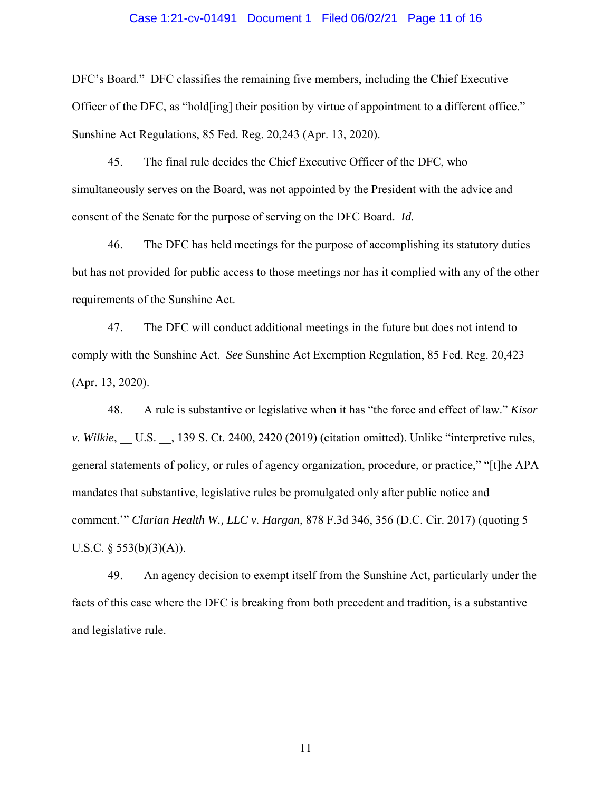#### Case 1:21-cv-01491 Document 1 Filed 06/02/21 Page 11 of 16

DFC's Board." DFC classifies the remaining five members, including the Chief Executive Officer of the DFC, as "hold[ing] their position by virtue of appointment to a different office." Sunshine Act Regulations, 85 Fed. Reg. 20,243 (Apr. 13, 2020).

45. The final rule decides the Chief Executive Officer of the DFC, who simultaneously serves on the Board, was not appointed by the President with the advice and consent of the Senate for the purpose of serving on the DFC Board. *Id.* 

46. The DFC has held meetings for the purpose of accomplishing its statutory duties but has not provided for public access to those meetings nor has it complied with any of the other requirements of the Sunshine Act.

47. The DFC will conduct additional meetings in the future but does not intend to comply with the Sunshine Act. *See* Sunshine Act Exemption Regulation, 85 Fed. Reg. 20,423 (Apr. 13, 2020).

48. A rule is substantive or legislative when it has "the force and effect of law." *Kisor v. Wilkie*, U.S. , 139 S. Ct. 2400, 2420 (2019) (citation omitted). Unlike "interpretive rules, general statements of policy, or rules of agency organization, procedure, or practice," "[t]he APA mandates that substantive, legislative rules be promulgated only after public notice and comment.'" *Clarian Health W., LLC v. Hargan*, 878 F.3d 346, 356 (D.C. Cir. 2017) (quoting 5 U.S.C.  $\S$  553(b)(3)(A)).

49. An agency decision to exempt itself from the Sunshine Act, particularly under the facts of this case where the DFC is breaking from both precedent and tradition, is a substantive and legislative rule.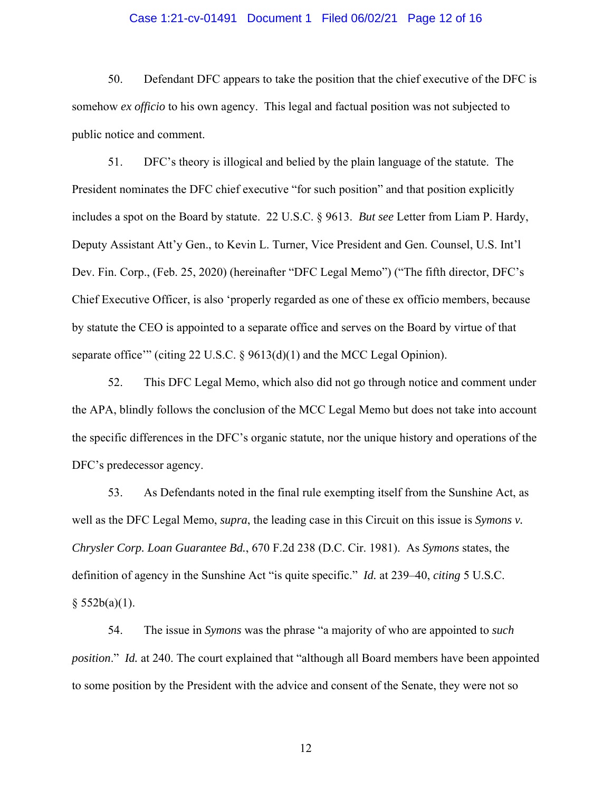### Case 1:21-cv-01491 Document 1 Filed 06/02/21 Page 12 of 16

50. Defendant DFC appears to take the position that the chief executive of the DFC is somehow *ex officio* to his own agency. This legal and factual position was not subjected to public notice and comment.

51. DFC's theory is illogical and belied by the plain language of the statute. The President nominates the DFC chief executive "for such position" and that position explicitly includes a spot on the Board by statute. 22 U.S.C. § 9613. *But see* Letter from Liam P. Hardy, Deputy Assistant Att'y Gen., to Kevin L. Turner, Vice President and Gen. Counsel, U.S. Int'l Dev. Fin. Corp., (Feb. 25, 2020) (hereinafter "DFC Legal Memo") ("The fifth director, DFC's Chief Executive Officer, is also 'properly regarded as one of these ex officio members, because by statute the CEO is appointed to a separate office and serves on the Board by virtue of that separate office'" (citing 22 U.S.C. § 9613(d)(1) and the MCC Legal Opinion).

52. This DFC Legal Memo, which also did not go through notice and comment under the APA, blindly follows the conclusion of the MCC Legal Memo but does not take into account the specific differences in the DFC's organic statute, nor the unique history and operations of the DFC's predecessor agency.

53. As Defendants noted in the final rule exempting itself from the Sunshine Act, as well as the DFC Legal Memo, *supra*, the leading case in this Circuit on this issue is *Symons v. Chrysler Corp. Loan Guarantee Bd.*, 670 F.2d 238 (D.C. Cir. 1981). As *Symons* states, the definition of agency in the Sunshine Act "is quite specific." *Id.* at 239–40, *citing* 5 U.S.C.  $§ 552b(a)(1).$ 

54. The issue in *Symons* was the phrase "a majority of who are appointed to *such position*." *Id.* at 240. The court explained that "although all Board members have been appointed to some position by the President with the advice and consent of the Senate, they were not so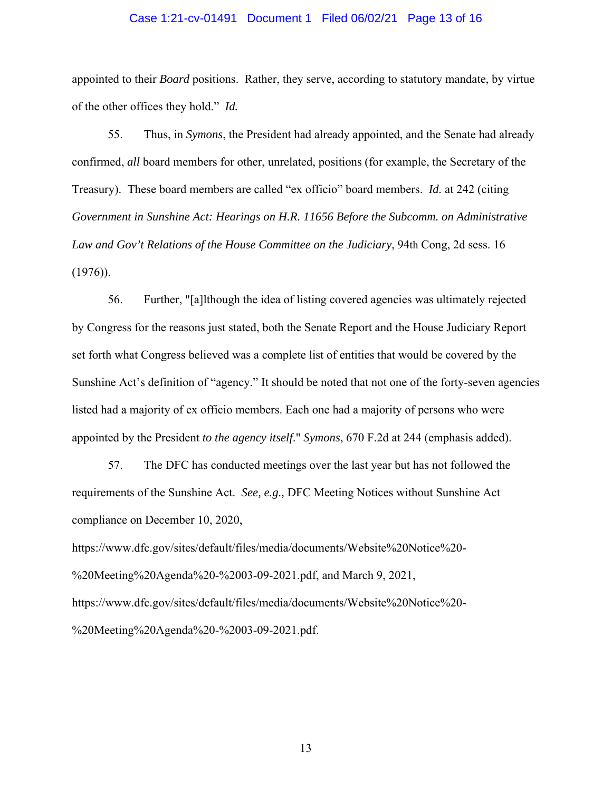#### Case 1:21-cv-01491 Document 1 Filed 06/02/21 Page 13 of 16

appointed to their *Board* positions. Rather, they serve, according to statutory mandate, by virtue of the other offices they hold." *Id.*

55. Thus, in *Symons*, the President had already appointed, and the Senate had already confirmed, *all* board members for other, unrelated, positions (for example, the Secretary of the Treasury). These board members are called "ex officio" board members. *Id.* at 242 (citing *Government in Sunshine Act: Hearings on H.R. 11656 Before the Subcomm. on Administrative Law and Gov't Relations of the House Committee on the Judiciary*, 94th Cong, 2d sess. 16 (1976)).

56. Further, "[a]lthough the idea of listing covered agencies was ultimately rejected by Congress for the reasons just stated, both the Senate Report and the House Judiciary Report set forth what Congress believed was a complete list of entities that would be covered by the Sunshine Act's definition of "agency." It should be noted that not one of the forty-seven agencies listed had a majority of ex officio members. Each one had a majority of persons who were appointed by the President *to the agency itself*." *Symons*, 670 F.2d at 244 (emphasis added).

57. The DFC has conducted meetings over the last year but has not followed the requirements of the Sunshine Act. *See, e.g.,* DFC Meeting Notices without Sunshine Act compliance on December 10, 2020,

https://www.dfc.gov/sites/default/files/media/documents/Website%20Notice%20- %20Meeting%20Agenda%20-%2003-09-2021.pdf, and March 9, 2021, https://www.dfc.gov/sites/default/files/media/documents/Website%20Notice%20- %20Meeting%20Agenda%20-%2003-09-2021.pdf.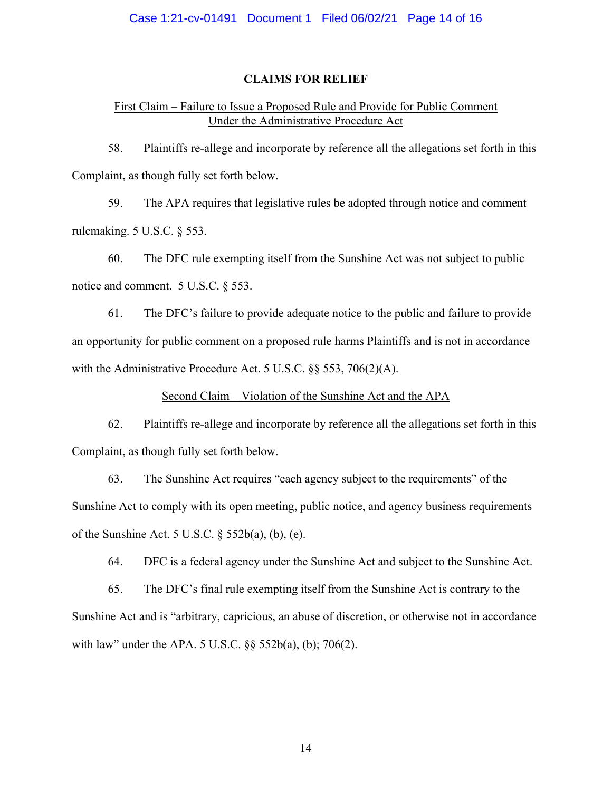## **CLAIMS FOR RELIEF**

## First Claim – Failure to Issue a Proposed Rule and Provide for Public Comment Under the Administrative Procedure Act

58. Plaintiffs re-allege and incorporate by reference all the allegations set forth in this Complaint, as though fully set forth below.

59. The APA requires that legislative rules be adopted through notice and comment rulemaking. 5 U.S.C. § 553.

60. The DFC rule exempting itself from the Sunshine Act was not subject to public notice and comment. 5 U.S.C. § 553.

61. The DFC's failure to provide adequate notice to the public and failure to provide an opportunity for public comment on a proposed rule harms Plaintiffs and is not in accordance with the Administrative Procedure Act. 5 U.S.C.  $\&$  553, 706(2)(A).

## Second Claim – Violation of the Sunshine Act and the APA

62. Plaintiffs re-allege and incorporate by reference all the allegations set forth in this Complaint, as though fully set forth below.

63. The Sunshine Act requires "each agency subject to the requirements" of the Sunshine Act to comply with its open meeting, public notice, and agency business requirements of the Sunshine Act. 5 U.S.C. § 552b(a), (b), (e).

64. DFC is a federal agency under the Sunshine Act and subject to the Sunshine Act.

65. The DFC's final rule exempting itself from the Sunshine Act is contrary to the Sunshine Act and is "arbitrary, capricious, an abuse of discretion, or otherwise not in accordance with law" under the APA. 5 U.S.C. §§ 552b(a), (b); 706(2).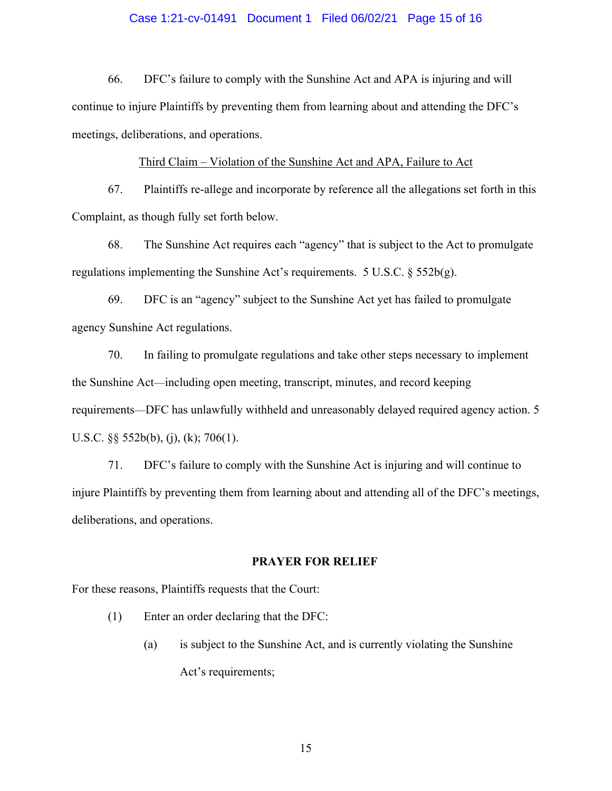## Case 1:21-cv-01491 Document 1 Filed 06/02/21 Page 15 of 16

66. DFC's failure to comply with the Sunshine Act and APA is injuring and will continue to injure Plaintiffs by preventing them from learning about and attending the DFC's meetings, deliberations, and operations.

### Third Claim – Violation of the Sunshine Act and APA, Failure to Act

67. Plaintiffs re-allege and incorporate by reference all the allegations set forth in this Complaint, as though fully set forth below.

68. The Sunshine Act requires each "agency" that is subject to the Act to promulgate regulations implementing the Sunshine Act's requirements. 5 U.S.C.  $\S$  552b(g).

69. DFC is an "agency" subject to the Sunshine Act yet has failed to promulgate agency Sunshine Act regulations.

70. In failing to promulgate regulations and take other steps necessary to implement the Sunshine Act—including open meeting, transcript, minutes, and record keeping requirements—DFC has unlawfully withheld and unreasonably delayed required agency action. 5 U.S.C. §§ 552b(b), (j), (k); 706(1).

71. DFC's failure to comply with the Sunshine Act is injuring and will continue to injure Plaintiffs by preventing them from learning about and attending all of the DFC's meetings, deliberations, and operations.

#### **PRAYER FOR RELIEF**

For these reasons, Plaintiffs requests that the Court:

- (1) Enter an order declaring that the DFC:
	- (a) is subject to the Sunshine Act, and is currently violating the Sunshine Act's requirements;